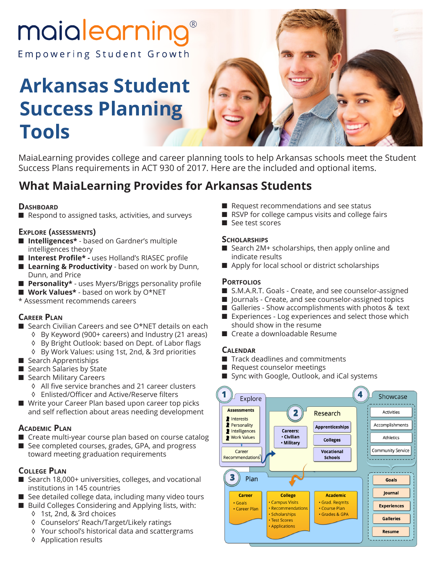# maialearning

Empowering Student Growth

# **Arkansas Student Success Planning Tools**



MaiaLearning provides college and career planning tools to help Arkansas schools meet the Student Success Plans requirements in ACT 930 of 2017. Here are the included and optional items.

## **What MaiaLearning Provides for Arkansas Students**

#### **DASHBOARD**

■ Respond to assigned tasks, activities, and surveys

#### **Explore (assessments)**

- **Intelligences\*** based on Gardner's multiple intelligences theory
- **Interest Profile\*** uses Holland's RIASEC profile
- Learning & Productivity based on work by Dunn, Dunn, and Price
- **Personality\*** uses Myers/Briggs personality profile
- Work Values<sup>\*</sup> based on work by O<sup>\*</sup>NET
- \* Assessment recommends careers

#### **Career Plan**

- Search Civilian Careers and see O\*NET details on each
	- ◊ By Keyword (900+ careers) and Industry (21 areas)
	- ◊ By Bright Outlook: based on Dept. of Labor flags
	- ◊ By Work Values: using 1st, 2nd, & 3rd priorities
- Search Apprentiships
- Search Salaries by State
- Search Military Careers
	- ◊ All five service branches and 21 career clusters
	- ◊ Enlisted/Officer and Active/Reserve filters
- Write your Career Plan based upon career top picks and self reflection about areas needing development

#### **Academic Plan**

- Create multi-year course plan based on course catalog
- See completed courses, grades, GPA, and progress toward meeting graduation requirements

#### **College Plan**

- Search 18,000+ universities, colleges, and vocational institutions in 145 countries
- See detailed college data, including many video tours
- Build Colleges Considering and Applying lists, with: ◊ 1st, 2nd, & 3rd choices
	- ◊ Counselors' Reach/Target/Likely ratings
	- ◊ Your school's historical data and scattergrams
	- ◊ Application results
- Request recommendations and see status
- RSVP for college campus visits and college fairs
- See test scores

#### **Scholarships**

- Search 2M+ scholarships, then apply online and indicate results
- Apply for local school or district scholarships

#### **Portfolios**

- S.M.A.R.T. Goals Create, and see counselor-assigned
- Journals Create, and see counselor-assigned topics
- Galleries Show accomplishments with photos & text
- Experiences Log experiences and select those which should show in the resume
- Create a downloadable Resume

#### **Calendar**

- Track deadlines and commitments
- Request counselor meetings
- Sync with Google, Outlook, and iCal systems